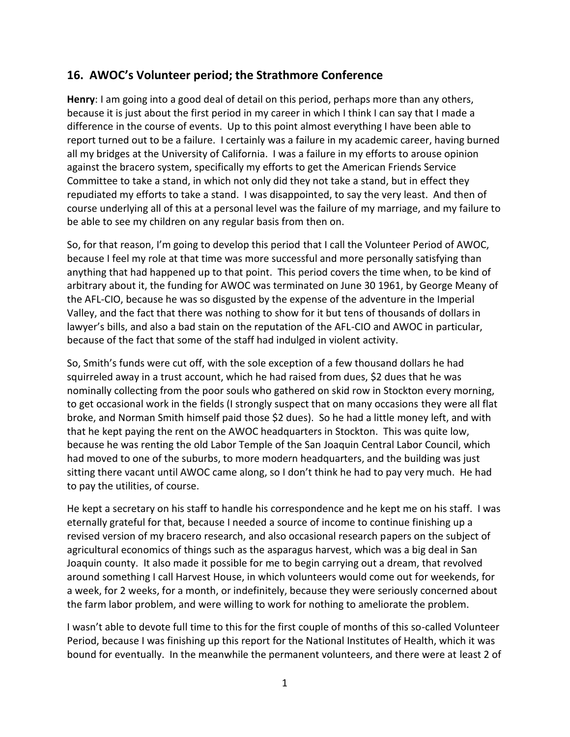## **16. AWOC's Volunteer period; the Strathmore Conference**

**Henry**: I am going into a good deal of detail on this period, perhaps more than any others, because it is just about the first period in my career in which I think I can say that I made a difference in the course of events. Up to this point almost everything I have been able to report turned out to be a failure. I certainly was a failure in my academic career, having burned all my bridges at the University of California. I was a failure in my efforts to arouse opinion against the bracero system, specifically my efforts to get the American Friends Service Committee to take a stand, in which not only did they not take a stand, but in effect they repudiated my efforts to take a stand. I was disappointed, to say the very least. And then of course underlying all of this at a personal level was the failure of my marriage, and my failure to be able to see my children on any regular basis from then on.

So, for that reason, I'm going to develop this period that I call the Volunteer Period of AWOC, because I feel my role at that time was more successful and more personally satisfying than anything that had happened up to that point. This period covers the time when, to be kind of arbitrary about it, the funding for AWOC was terminated on June 30 1961, by George Meany of the AFL-CIO, because he was so disgusted by the expense of the adventure in the Imperial Valley, and the fact that there was nothing to show for it but tens of thousands of dollars in lawyer's bills, and also a bad stain on the reputation of the AFL-CIO and AWOC in particular, because of the fact that some of the staff had indulged in violent activity.

So, Smith's funds were cut off, with the sole exception of a few thousand dollars he had squirreled away in a trust account, which he had raised from dues, \$2 dues that he was nominally collecting from the poor souls who gathered on skid row in Stockton every morning, to get occasional work in the fields (I strongly suspect that on many occasions they were all flat broke, and Norman Smith himself paid those \$2 dues). So he had a little money left, and with that he kept paying the rent on the AWOC headquarters in Stockton. This was quite low, because he was renting the old Labor Temple of the San Joaquin Central Labor Council, which had moved to one of the suburbs, to more modern headquarters, and the building was just sitting there vacant until AWOC came along, so I don't think he had to pay very much. He had to pay the utilities, of course.

He kept a secretary on his staff to handle his correspondence and he kept me on his staff. I was eternally grateful for that, because I needed a source of income to continue finishing up a revised version of my bracero research, and also occasional research papers on the subject of agricultural economics of things such as the asparagus harvest, which was a big deal in San Joaquin county. It also made it possible for me to begin carrying out a dream, that revolved around something I call Harvest House, in which volunteers would come out for weekends, for a week, for 2 weeks, for a month, or indefinitely, because they were seriously concerned about the farm labor problem, and were willing to work for nothing to ameliorate the problem.

I wasn't able to devote full time to this for the first couple of months of this so-called Volunteer Period, because I was finishing up this report for the National Institutes of Health, which it was bound for eventually. In the meanwhile the permanent volunteers, and there were at least 2 of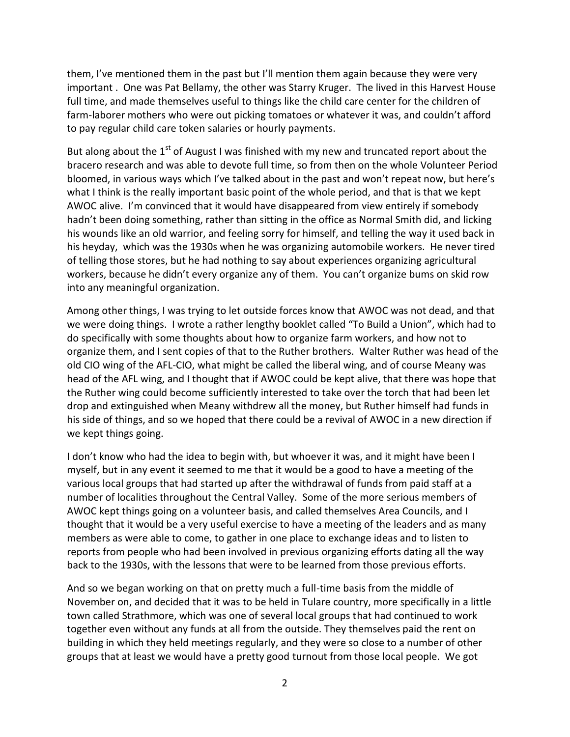them, I've mentioned them in the past but I'll mention them again because they were very important . One was Pat Bellamy, the other was Starry Kruger. The lived in this Harvest House full time, and made themselves useful to things like the child care center for the children of farm-laborer mothers who were out picking tomatoes or whatever it was, and couldn't afford to pay regular child care token salaries or hourly payments.

But along about the  $1<sup>st</sup>$  of August I was finished with my new and truncated report about the bracero research and was able to devote full time, so from then on the whole Volunteer Period bloomed, in various ways which I've talked about in the past and won't repeat now, but here's what I think is the really important basic point of the whole period, and that is that we kept AWOC alive. I'm convinced that it would have disappeared from view entirely if somebody hadn't been doing something, rather than sitting in the office as Normal Smith did, and licking his wounds like an old warrior, and feeling sorry for himself, and telling the way it used back in his heyday, which was the 1930s when he was organizing automobile workers. He never tired of telling those stores, but he had nothing to say about experiences organizing agricultural workers, because he didn't every organize any of them. You can't organize bums on skid row into any meaningful organization.

Among other things, I was trying to let outside forces know that AWOC was not dead, and that we were doing things. I wrote a rather lengthy booklet called "To Build a Union", which had to do specifically with some thoughts about how to organize farm workers, and how not to organize them, and I sent copies of that to the Ruther brothers. Walter Ruther was head of the old CIO wing of the AFL-CIO, what might be called the liberal wing, and of course Meany was head of the AFL wing, and I thought that if AWOC could be kept alive, that there was hope that the Ruther wing could become sufficiently interested to take over the torch that had been let drop and extinguished when Meany withdrew all the money, but Ruther himself had funds in his side of things, and so we hoped that there could be a revival of AWOC in a new direction if we kept things going.

I don't know who had the idea to begin with, but whoever it was, and it might have been I myself, but in any event it seemed to me that it would be a good to have a meeting of the various local groups that had started up after the withdrawal of funds from paid staff at a number of localities throughout the Central Valley. Some of the more serious members of AWOC kept things going on a volunteer basis, and called themselves Area Councils, and I thought that it would be a very useful exercise to have a meeting of the leaders and as many members as were able to come, to gather in one place to exchange ideas and to listen to reports from people who had been involved in previous organizing efforts dating all the way back to the 1930s, with the lessons that were to be learned from those previous efforts.

And so we began working on that on pretty much a full-time basis from the middle of November on, and decided that it was to be held in Tulare country, more specifically in a little town called Strathmore, which was one of several local groups that had continued to work together even without any funds at all from the outside. They themselves paid the rent on building in which they held meetings regularly, and they were so close to a number of other groups that at least we would have a pretty good turnout from those local people. We got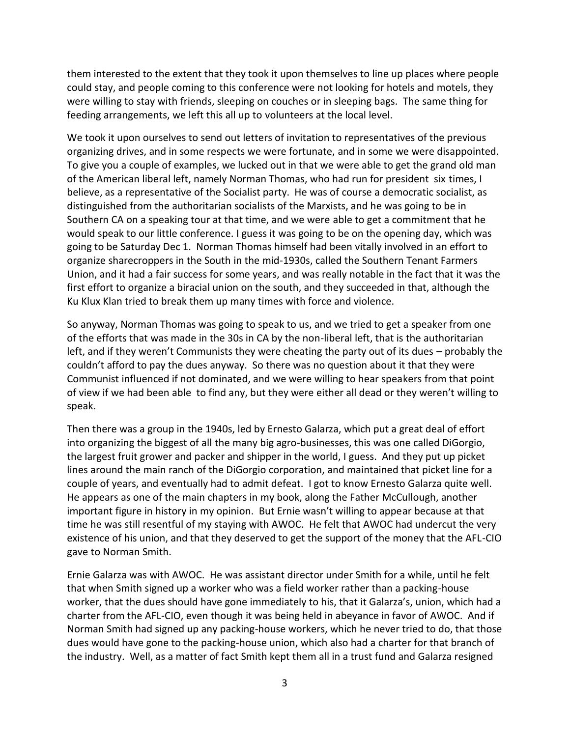them interested to the extent that they took it upon themselves to line up places where people could stay, and people coming to this conference were not looking for hotels and motels, they were willing to stay with friends, sleeping on couches or in sleeping bags. The same thing for feeding arrangements, we left this all up to volunteers at the local level.

We took it upon ourselves to send out letters of invitation to representatives of the previous organizing drives, and in some respects we were fortunate, and in some we were disappointed. To give you a couple of examples, we lucked out in that we were able to get the grand old man of the American liberal left, namely Norman Thomas, who had run for president six times, I believe, as a representative of the Socialist party. He was of course a democratic socialist, as distinguished from the authoritarian socialists of the Marxists, and he was going to be in Southern CA on a speaking tour at that time, and we were able to get a commitment that he would speak to our little conference. I guess it was going to be on the opening day, which was going to be Saturday Dec 1. Norman Thomas himself had been vitally involved in an effort to organize sharecroppers in the South in the mid-1930s, called the Southern Tenant Farmers Union, and it had a fair success for some years, and was really notable in the fact that it was the first effort to organize a biracial union on the south, and they succeeded in that, although the Ku Klux Klan tried to break them up many times with force and violence.

So anyway, Norman Thomas was going to speak to us, and we tried to get a speaker from one of the efforts that was made in the 30s in CA by the non-liberal left, that is the authoritarian left, and if they weren't Communists they were cheating the party out of its dues – probably the couldn't afford to pay the dues anyway. So there was no question about it that they were Communist influenced if not dominated, and we were willing to hear speakers from that point of view if we had been able to find any, but they were either all dead or they weren't willing to speak.

Then there was a group in the 1940s, led by Ernesto Galarza, which put a great deal of effort into organizing the biggest of all the many big agro-businesses, this was one called DiGorgio, the largest fruit grower and packer and shipper in the world, I guess. And they put up picket lines around the main ranch of the DiGorgio corporation, and maintained that picket line for a couple of years, and eventually had to admit defeat. I got to know Ernesto Galarza quite well. He appears as one of the main chapters in my book, along the Father McCullough, another important figure in history in my opinion. But Ernie wasn't willing to appear because at that time he was still resentful of my staying with AWOC. He felt that AWOC had undercut the very existence of his union, and that they deserved to get the support of the money that the AFL-CIO gave to Norman Smith.

Ernie Galarza was with AWOC. He was assistant director under Smith for a while, until he felt that when Smith signed up a worker who was a field worker rather than a packing-house worker, that the dues should have gone immediately to his, that it Galarza's, union, which had a charter from the AFL-CIO, even though it was being held in abeyance in favor of AWOC. And if Norman Smith had signed up any packing-house workers, which he never tried to do, that those dues would have gone to the packing-house union, which also had a charter for that branch of the industry. Well, as a matter of fact Smith kept them all in a trust fund and Galarza resigned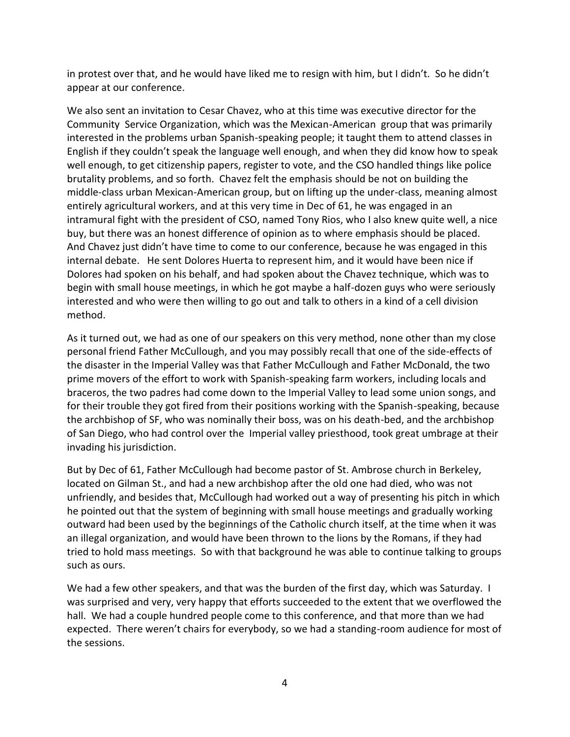in protest over that, and he would have liked me to resign with him, but I didn't. So he didn't appear at our conference.

We also sent an invitation to Cesar Chavez, who at this time was executive director for the Community Service Organization, which was the Mexican-American group that was primarily interested in the problems urban Spanish-speaking people; it taught them to attend classes in English if they couldn't speak the language well enough, and when they did know how to speak well enough, to get citizenship papers, register to vote, and the CSO handled things like police brutality problems, and so forth. Chavez felt the emphasis should be not on building the middle-class urban Mexican-American group, but on lifting up the under-class, meaning almost entirely agricultural workers, and at this very time in Dec of 61, he was engaged in an intramural fight with the president of CSO, named Tony Rios, who I also knew quite well, a nice buy, but there was an honest difference of opinion as to where emphasis should be placed. And Chavez just didn't have time to come to our conference, because he was engaged in this internal debate. He sent Dolores Huerta to represent him, and it would have been nice if Dolores had spoken on his behalf, and had spoken about the Chavez technique, which was to begin with small house meetings, in which he got maybe a half-dozen guys who were seriously interested and who were then willing to go out and talk to others in a kind of a cell division method.

As it turned out, we had as one of our speakers on this very method, none other than my close personal friend Father McCullough, and you may possibly recall that one of the side-effects of the disaster in the Imperial Valley was that Father McCullough and Father McDonald, the two prime movers of the effort to work with Spanish-speaking farm workers, including locals and braceros, the two padres had come down to the Imperial Valley to lead some union songs, and for their trouble they got fired from their positions working with the Spanish-speaking, because the archbishop of SF, who was nominally their boss, was on his death-bed, and the archbishop of San Diego, who had control over the Imperial valley priesthood, took great umbrage at their invading his jurisdiction.

But by Dec of 61, Father McCullough had become pastor of St. Ambrose church in Berkeley, located on Gilman St., and had a new archbishop after the old one had died, who was not unfriendly, and besides that, McCullough had worked out a way of presenting his pitch in which he pointed out that the system of beginning with small house meetings and gradually working outward had been used by the beginnings of the Catholic church itself, at the time when it was an illegal organization, and would have been thrown to the lions by the Romans, if they had tried to hold mass meetings. So with that background he was able to continue talking to groups such as ours.

We had a few other speakers, and that was the burden of the first day, which was Saturday. I was surprised and very, very happy that efforts succeeded to the extent that we overflowed the hall. We had a couple hundred people come to this conference, and that more than we had expected. There weren't chairs for everybody, so we had a standing-room audience for most of the sessions.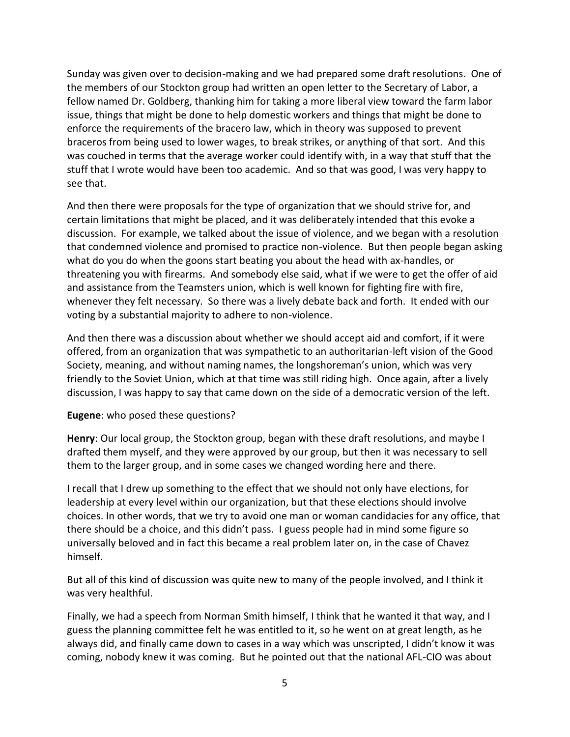Sunday was given over to decision-making and we had prepared some draft resolutions. One of the members of our Stockton group had written an open letter to the Secretary of Labor, a fellow named Dr. Goldberg, thanking him for taking a more liberal view toward the farm labor issue, things that might be done to help domestic workers and things that might be done to enforce the requirements of the bracero law, which in theory was supposed to prevent braceros from being used to lower wages, to break strikes, or anything of that sort. And this was couched in terms that the average worker could identify with, in a way that stuff that the stuff that I wrote would have been too academic. And so that was good, I was very happy to see that.

And then there were proposals for the type of organization that we should strive for, and certain limitations that might be placed, and it was deliberately intended that this evoke a discussion. For example, we talked about the issue of violence, and we began with a resolution that condemned violence and promised to practice non-violence. But then people began asking what do you do when the goons start beating you about the head with ax-handles, or threatening you with firearms. And somebody else said, what if we were to get the offer of aid and assistance from the Teamsters union, which is well known for fighting fire with fire, whenever they felt necessary. So there was a lively debate back and forth. It ended with our voting by a substantial majority to adhere to non-violence.

And then there was a discussion about whether we should accept aid and comfort, if it were offered, from an organization that was sympathetic to an authoritarian-left vision of the Good Society, meaning, and without naming names, the longshoreman's union, which was very friendly to the Soviet Union, which at that time was still riding high. Once again, after a lively discussion, I was happy to say that came down on the side of a democratic version of the left.

## **Eugene**: who posed these questions?

**Henry**: Our local group, the Stockton group, began with these draft resolutions, and maybe I drafted them myself, and they were approved by our group, but then it was necessary to sell them to the larger group, and in some cases we changed wording here and there.

I recall that I drew up something to the effect that we should not only have elections, for leadership at every level within our organization, but that these elections should involve choices. In other words, that we try to avoid one man or woman candidacies for any office, that there should be a choice, and this didn't pass. I guess people had in mind some figure so universally beloved and in fact this became a real problem later on, in the case of Chavez himself.

But all of this kind of discussion was quite new to many of the people involved, and I think it was very healthful.

Finally, we had a speech from Norman Smith himself, I think that he wanted it that way, and I guess the planning committee felt he was entitled to it, so he went on at great length, as he always did, and finally came down to cases in a way which was unscripted, I didn't know it was coming, nobody knew it was coming. But he pointed out that the national AFL-CIO was about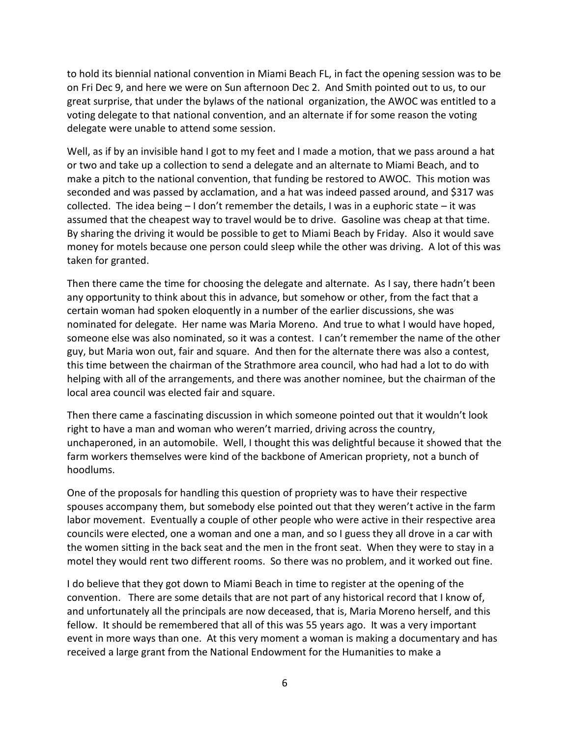to hold its biennial national convention in Miami Beach FL, in fact the opening session was to be on Fri Dec 9, and here we were on Sun afternoon Dec 2. And Smith pointed out to us, to our great surprise, that under the bylaws of the national organization, the AWOC was entitled to a voting delegate to that national convention, and an alternate if for some reason the voting delegate were unable to attend some session.

Well, as if by an invisible hand I got to my feet and I made a motion, that we pass around a hat or two and take up a collection to send a delegate and an alternate to Miami Beach, and to make a pitch to the national convention, that funding be restored to AWOC. This motion was seconded and was passed by acclamation, and a hat was indeed passed around, and \$317 was collected. The idea being  $-1$  don't remember the details, I was in a euphoric state  $-$  it was assumed that the cheapest way to travel would be to drive. Gasoline was cheap at that time. By sharing the driving it would be possible to get to Miami Beach by Friday. Also it would save money for motels because one person could sleep while the other was driving. A lot of this was taken for granted.

Then there came the time for choosing the delegate and alternate. As I say, there hadn't been any opportunity to think about this in advance, but somehow or other, from the fact that a certain woman had spoken eloquently in a number of the earlier discussions, she was nominated for delegate. Her name was Maria Moreno. And true to what I would have hoped, someone else was also nominated, so it was a contest. I can't remember the name of the other guy, but Maria won out, fair and square. And then for the alternate there was also a contest, this time between the chairman of the Strathmore area council, who had had a lot to do with helping with all of the arrangements, and there was another nominee, but the chairman of the local area council was elected fair and square.

Then there came a fascinating discussion in which someone pointed out that it wouldn't look right to have a man and woman who weren't married, driving across the country, unchaperoned, in an automobile. Well, I thought this was delightful because it showed that the farm workers themselves were kind of the backbone of American propriety, not a bunch of hoodlums.

One of the proposals for handling this question of propriety was to have their respective spouses accompany them, but somebody else pointed out that they weren't active in the farm labor movement. Eventually a couple of other people who were active in their respective area councils were elected, one a woman and one a man, and so I guess they all drove in a car with the women sitting in the back seat and the men in the front seat. When they were to stay in a motel they would rent two different rooms. So there was no problem, and it worked out fine.

I do believe that they got down to Miami Beach in time to register at the opening of the convention. There are some details that are not part of any historical record that I know of, and unfortunately all the principals are now deceased, that is, Maria Moreno herself, and this fellow. It should be remembered that all of this was 55 years ago. It was a very important event in more ways than one. At this very moment a woman is making a documentary and has received a large grant from the National Endowment for the Humanities to make a